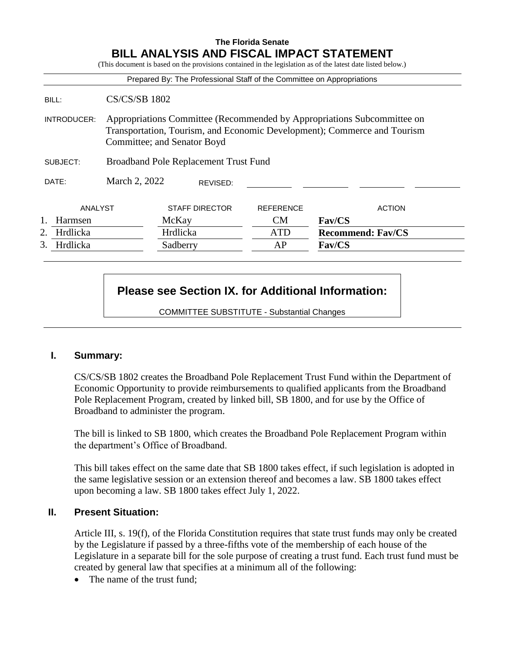## **The Florida Senate BILL ANALYSIS AND FISCAL IMPACT STATEMENT**

(This document is based on the provisions contained in the legislation as of the latest date listed below.) Prepared By: The Professional Staff of the Committee on Appropriations BILL: CS/CS/SB 1802 INTRODUCER: Appropriations Committee (Recommended by Appropriations Subcommittee on Transportation, Tourism, and Economic Development); Commerce and Tourism Committee; and Senator Boyd SUBJECT: Broadband Pole Replacement Trust Fund DATE: March 2, 2022 ANALYST STAFF DIRECTOR REFERENCE ACTION 1. Harmsen McKay CM **Fav/CS** 2. Hrdlicka Hrdlicka ATD **Recommend: Fav/CS** 3. Hrdlicka Sadberry AP **Fav/CS** REVISED:

# **Please see Section IX. for Additional Information:**

COMMITTEE SUBSTITUTE - Substantial Changes

#### **I. Summary:**

CS/CS/SB 1802 creates the Broadband Pole Replacement Trust Fund within the Department of Economic Opportunity to provide reimbursements to qualified applicants from the Broadband Pole Replacement Program, created by linked bill, SB 1800, and for use by the Office of Broadband to administer the program.

The bill is linked to SB 1800, which creates the Broadband Pole Replacement Program within the department's Office of Broadband.

This bill takes effect on the same date that SB 1800 takes effect, if such legislation is adopted in the same legislative session or an extension thereof and becomes a law. SB 1800 takes effect upon becoming a law. SB 1800 takes effect July 1, 2022.

#### **II. Present Situation:**

Article III, s. 19(f), of the Florida Constitution requires that state trust funds may only be created by the Legislature if passed by a three-fifths vote of the membership of each house of the Legislature in a separate bill for the sole purpose of creating a trust fund. Each trust fund must be created by general law that specifies at a minimum all of the following:

• The name of the trust fund: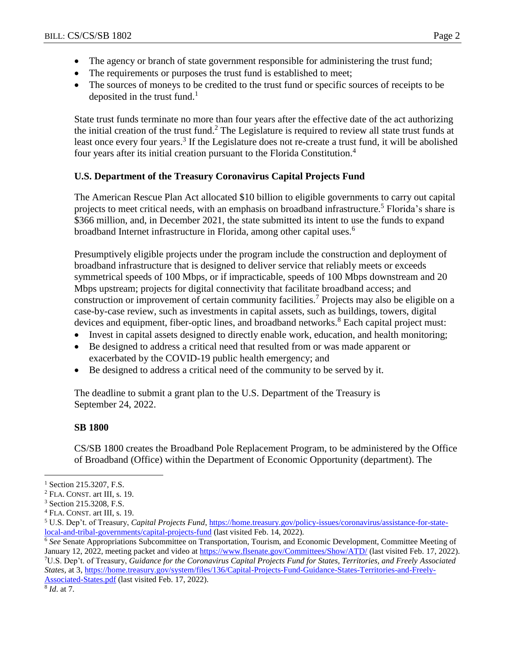- The agency or branch of state government responsible for administering the trust fund;
- The requirements or purposes the trust fund is established to meet;
- The sources of moneys to be credited to the trust fund or specific sources of receipts to be deposited in the trust fund.<sup>1</sup>

State trust funds terminate no more than four years after the effective date of the act authorizing the initial creation of the trust fund.<sup>2</sup> The Legislature is required to review all state trust funds at least once every four years.<sup>3</sup> If the Legislature does not re-create a trust fund, it will be abolished four years after its initial creation pursuant to the Florida Constitution.<sup>4</sup>

# **U.S. Department of the Treasury Coronavirus Capital Projects Fund**

The American Rescue Plan Act allocated \$10 billion to eligible governments to carry out capital projects to meet critical needs, with an emphasis on broadband infrastructure.<sup>5</sup> Florida's share is \$366 million, and, in December 2021, the state submitted its intent to use the funds to expand broadband Internet infrastructure in Florida, among other capital uses.<sup>6</sup>

Presumptively eligible projects under the program include the construction and deployment of broadband infrastructure that is designed to deliver service that reliably meets or exceeds symmetrical speeds of 100 Mbps, or if impracticable, speeds of 100 Mbps downstream and 20 Mbps upstream; projects for digital connectivity that facilitate broadband access; and construction or improvement of certain community facilities.<sup>7</sup> Projects may also be eligible on a case-by-case review, such as investments in capital assets, such as buildings, towers, digital devices and equipment, fiber-optic lines, and broadband networks.<sup>8</sup> Each capital project must:

- Invest in capital assets designed to directly enable work, education, and health monitoring;
- Be designed to address a critical need that resulted from or was made apparent or exacerbated by the COVID-19 public health emergency; and
- Be designed to address a critical need of the community to be served by it.

The deadline to submit a grant plan to the U.S. Department of the Treasury is September 24, 2022.

#### **SB 1800**

CS/SB 1800 creates the Broadband Pole Replacement Program, to be administered by the Office of Broadband (Office) within the Department of Economic Opportunity (department). The

<sup>6</sup> *See* Senate Appropriations Subcommittee on Transportation, Tourism, and Economic Development, Committee Meeting of January 12, 2022, meeting packet and video at<https://www.flsenate.gov/Committees/Show/ATD/> (last visited Feb. 17, 2022). <sup>7</sup>U.S. Dep't. of Treasury, *Guidance for the Coronavirus Capital Projects Fund for States, Territories, and Freely Associated States,* at 3[, https://home.treasury.gov/system/files/136/Capital-Projects-Fund-Guidance-States-Territories-and-Freely-](https://home.treasury.gov/system/files/136/Capital-Projects-Fund-Guidance-States-Territories-and-Freely-Associated-States.pdf)[Associated-States.pdf](https://home.treasury.gov/system/files/136/Capital-Projects-Fund-Guidance-States-Territories-and-Freely-Associated-States.pdf) (last visited Feb. 17, 2022).

 $\overline{a}$ 

<sup>&</sup>lt;sup>1</sup> Section 215.3207, F.S.

<sup>2</sup> FLA. CONST. art III, s. 19.

<sup>3</sup> Section 215.3208, F.S.

<sup>4</sup> FLA. CONST. art III, s. 19.

<sup>5</sup> U.S. Dep't. of Treasury, *Capital Projects Fund*[, https://home.treasury.gov/policy-issues/coronavirus/assistance-for-state](https://home.treasury.gov/policy-issues/coronavirus/assistance-for-state-local-and-tribal-governments/capital-projects-fund)[local-and-tribal-governments/capital-projects-fund](https://home.treasury.gov/policy-issues/coronavirus/assistance-for-state-local-and-tribal-governments/capital-projects-fund) (last visited Feb. 14, 2022).

<sup>8</sup> *Id*. at 7.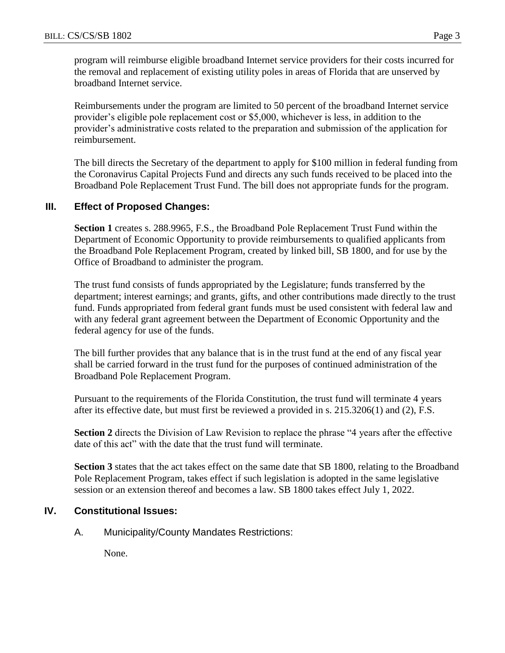program will reimburse eligible broadband Internet service providers for their costs incurred for the removal and replacement of existing utility poles in areas of Florida that are unserved by broadband Internet service.

Reimbursements under the program are limited to 50 percent of the broadband Internet service provider's eligible pole replacement cost or \$5,000, whichever is less, in addition to the provider's administrative costs related to the preparation and submission of the application for reimbursement.

The bill directs the Secretary of the department to apply for \$100 million in federal funding from the Coronavirus Capital Projects Fund and directs any such funds received to be placed into the Broadband Pole Replacement Trust Fund. The bill does not appropriate funds for the program.

# **III. Effect of Proposed Changes:**

**Section 1** creates s. 288.9965, F.S., the Broadband Pole Replacement Trust Fund within the Department of Economic Opportunity to provide reimbursements to qualified applicants from the Broadband Pole Replacement Program, created by linked bill, SB 1800, and for use by the Office of Broadband to administer the program.

The trust fund consists of funds appropriated by the Legislature; funds transferred by the department; interest earnings; and grants, gifts, and other contributions made directly to the trust fund. Funds appropriated from federal grant funds must be used consistent with federal law and with any federal grant agreement between the Department of Economic Opportunity and the federal agency for use of the funds.

The bill further provides that any balance that is in the trust fund at the end of any fiscal year shall be carried forward in the trust fund for the purposes of continued administration of the Broadband Pole Replacement Program.

Pursuant to the requirements of the Florida Constitution, the trust fund will terminate 4 years after its effective date, but must first be reviewed a provided in s. 215.3206(1) and (2), F.S.

**Section 2** directs the Division of Law Revision to replace the phrase "4 years after the effective date of this act" with the date that the trust fund will terminate.

**Section 3** states that the act takes effect on the same date that SB 1800, relating to the Broadband Pole Replacement Program, takes effect if such legislation is adopted in the same legislative session or an extension thereof and becomes a law. SB 1800 takes effect July 1, 2022.

#### **IV. Constitutional Issues:**

A. Municipality/County Mandates Restrictions:

None.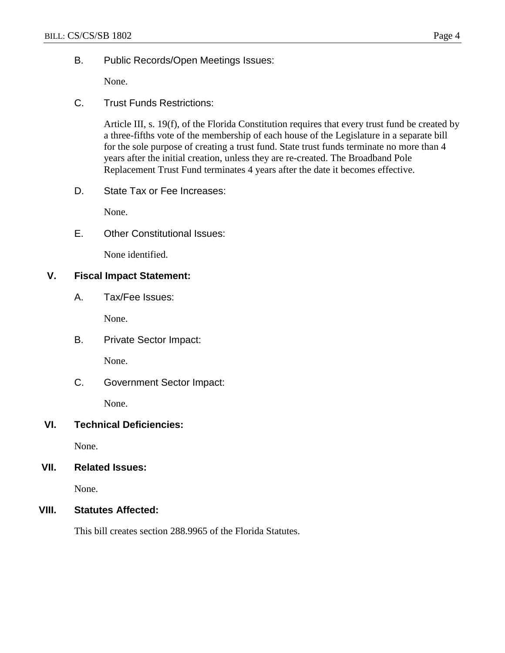B. Public Records/Open Meetings Issues:

None.

C. Trust Funds Restrictions:

Article III, s. 19(f), of the Florida Constitution requires that every trust fund be created by a three-fifths vote of the membership of each house of the Legislature in a separate bill for the sole purpose of creating a trust fund. State trust funds terminate no more than 4 years after the initial creation, unless they are re-created. The Broadband Pole Replacement Trust Fund terminates 4 years after the date it becomes effective.

D. State Tax or Fee Increases:

None.

E. Other Constitutional Issues:

None identified.

### **V. Fiscal Impact Statement:**

A. Tax/Fee Issues:

None.

B. Private Sector Impact:

None.

C. Government Sector Impact:

None.

#### **VI. Technical Deficiencies:**

None.

# **VII. Related Issues:**

None.

#### **VIII. Statutes Affected:**

This bill creates section 288.9965 of the Florida Statutes.